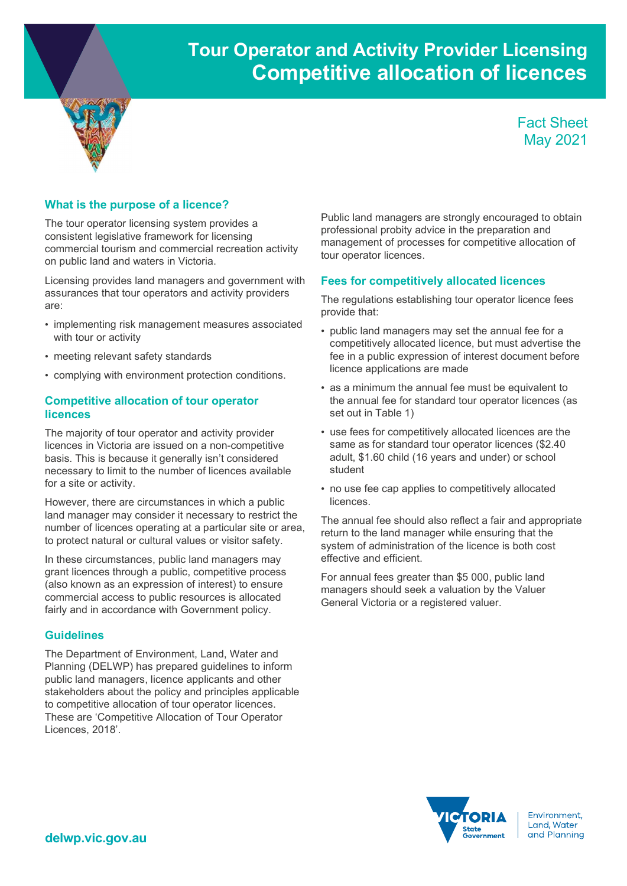# Tour Operator and Activity Provider Licensing Competitive allocation of licences



## What is the purpose of a licence?

The tour operator licensing system provides a consistent legislative framework for licensing commercial tourism and commercial recreation activity on public land and waters in Victoria.

Licensing provides land managers and government with assurances that tour operators and activity providers are:

- implementing risk management measures associated with tour or activity
- meeting relevant safety standards
- complying with environment protection conditions.

### Competitive allocation of tour operator licences

The majority of tour operator and activity provider licences in Victoria are issued on a non-competitive basis. This is because it generally isn't considered necessary to limit to the number of licences available for a site or activity.

However, there are circumstances in which a public land manager may consider it necessary to restrict the number of licences operating at a particular site or area, to protect natural or cultural values or visitor safety.

In these circumstances, public land managers may grant licences through a public, competitive process (also known as an expression of interest) to ensure commercial access to public resources is allocated fairly and in accordance with Government policy.

#### **Guidelines**

The Department of Environment, Land, Water and Planning (DELWP) has prepared guidelines to inform public land managers, licence applicants and other stakeholders about the policy and principles applicable to competitive allocation of tour operator licences. These are 'Competitive Allocation of Tour Operator Licences, 2018'.

Public land managers are strongly encouraged to obtain professional probity advice in the preparation and management of processes for competitive allocation of tour operator licences.

#### Fees for competitively allocated licences

The regulations establishing tour operator licence fees provide that:

- public land managers may set the annual fee for a competitively allocated licence, but must advertise the fee in a public expression of interest document before licence applications are made
- as a minimum the annual fee must be equivalent to the annual fee for standard tour operator licences (as set out in Table 1)
- use fees for competitively allocated licences are the same as for standard tour operator licences (\$2.40 adult, \$1.60 child (16 years and under) or school student
- no use fee cap applies to competitively allocated licences.

The annual fee should also reflect a fair and appropriate return to the land manager while ensuring that the system of administration of the licence is both cost effective and efficient.

For annual fees greater than \$5 000, public land managers should seek a valuation by the Valuer General Victoria or a registered valuer.



Environment. Land, Water and Planning